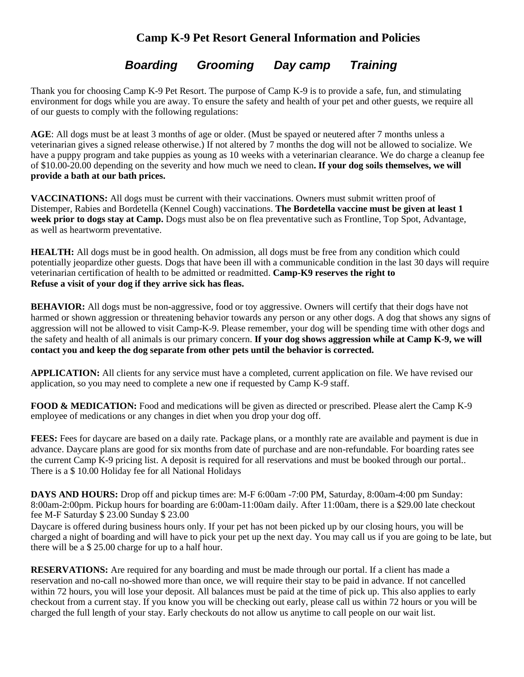## **Camp K-9 Pet Resort General Information and Policies**

## *Boarding Grooming Day camp Training*

Thank you for choosing Camp K-9 Pet Resort. The purpose of Camp K-9 is to provide a safe, fun, and stimulating environment for dogs while you are away. To ensure the safety and health of your pet and other guests, we require all of our guests to comply with the following regulations:

**AGE**: All dogs must be at least 3 months of age or older. (Must be spayed or neutered after 7 months unless a veterinarian gives a signed release otherwise.) If not altered by 7 months the dog will not be allowed to socialize. We have a puppy program and take puppies as young as 10 weeks with a veterinarian clearance. We do charge a cleanup fee of \$10.00-20.00 depending on the severity and how much we need to clean**. If your dog soils themselves, we will provide a bath at our bath prices.**

**VACCINATIONS:** All dogs must be current with their vaccinations. Owners must submit written proof of Distemper, Rabies and Bordetella (Kennel Cough) vaccinations. **The Bordetella vaccine must be given at least 1 week prior to dogs stay at Camp.** Dogs must also be on flea preventative such as Frontline, Top Spot, Advantage, as well as heartworm preventative.

**HEALTH:** All dogs must be in good health. On admission, all dogs must be free from any condition which could potentially jeopardize other guests. Dogs that have been ill with a communicable condition in the last 30 days will require veterinarian certification of health to be admitted or readmitted. **Camp-K9 reserves the right to Refuse a visit of your dog if they arrive sick has fleas.**

**BEHAVIOR:** All dogs must be non-aggressive, food or toy aggressive. Owners will certify that their dogs have not harmed or shown aggression or threatening behavior towards any person or any other dogs. A dog that shows any signs of aggression will not be allowed to visit Camp-K-9. Please remember, your dog will be spending time with other dogs and the safety and health of all animals is our primary concern. **If your dog shows aggression while at Camp K-9, we will contact you and keep the dog separate from other pets until the behavior is corrected.**

**APPLICATION:** All clients for any service must have a completed, current application on file. We have revised our application, so you may need to complete a new one if requested by Camp K-9 staff.

**FOOD & MEDICATION:** Food and medications will be given as directed or prescribed. Please alert the Camp K-9 employee of medications or any changes in diet when you drop your dog off.

**FEES:** Fees for daycare are based on a daily rate. Package plans, or a monthly rate are available and payment is due in advance. Daycare plans are good for six months from date of purchase and are non-refundable. For boarding rates see the current Camp K-9 pricing list. A deposit is required for all reservations and must be booked through our portal.. There is a \$ 10.00 Holiday fee for all National Holidays

**DAYS AND HOURS:** Drop off and pickup times are: M-F 6:00am -7:00 PM, Saturday, 8:00am-4:00 pm Sunday: 8:00am-2:00pm. Pickup hours for boarding are 6:00am-11:00am daily. After 11:00am, there is a \$29.00 late checkout fee M-F Saturday \$ 23.00 Sunday \$ 23.00

Daycare is offered during business hours only. If your pet has not been picked up by our closing hours, you will be charged a night of boarding and will have to pick your pet up the next day. You may call us if you are going to be late, but there will be a \$ 25.00 charge for up to a half hour.

**RESERVATIONS:** Are required for any boarding and must be made through our portal. If a client has made a reservation and no-call no-showed more than once, we will require their stay to be paid in advance. If not cancelled within 72 hours, you will lose your deposit. All balances must be paid at the time of pick up. This also applies to early checkout from a current stay. If you know you will be checking out early, please call us within 72 hours or you will be charged the full length of your stay. Early checkouts do not allow us anytime to call people on our wait list.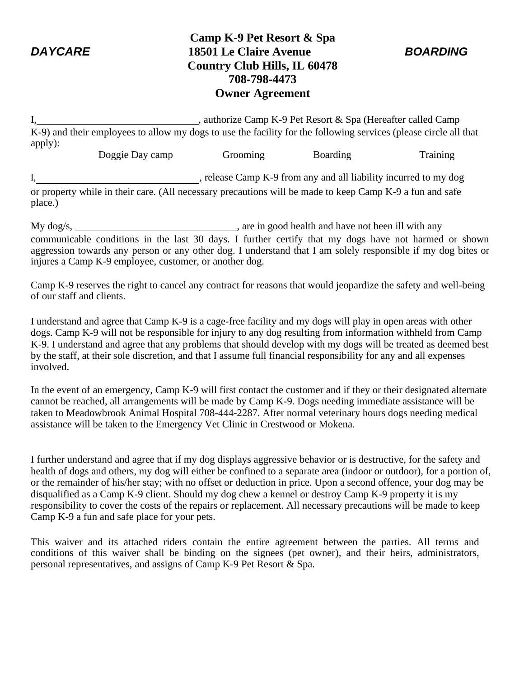## **Camp K-9 Pet Resort & Spa** *DAYCARE* **18501 Le Claire Avenue** *BOARDING* **Country Club Hills, IL 60478 708-798-4473 Owner Agreement**

I, authorize Camp K-9 Pet Resort & Spa (Hereafter called Camp K-9) and their employees to allow my dogs to use the facility for the following services (please circle all that apply):

Doggie Day camp Grooming Boarding Training I, release Camp K-9 from any and all liability incurred to my dog

or property while in their care. (All necessary precautions will be made to keep Camp K-9 a fun and safe place.)

My dog/s, , are in good health and have not been ill with any communicable conditions in the last 30 days. I further certify that my dogs have not harmed or shown aggression towards any person or any other dog. I understand that I am solely responsible if my dog bites or injures a Camp K-9 employee, customer, or another dog.

Camp K-9 reserves the right to cancel any contract for reasons that would jeopardize the safety and well-being of our staff and clients.

I understand and agree that Camp K-9 is a cage-free facility and my dogs will play in open areas with other dogs. Camp K-9 will not be responsible for injury to any dog resulting from information withheld from Camp K-9. I understand and agree that any problems that should develop with my dogs will be treated as deemed best by the staff, at their sole discretion, and that I assume full financial responsibility for any and all expenses involved.

In the event of an emergency, Camp K-9 will first contact the customer and if they or their designated alternate cannot be reached, all arrangements will be made by Camp K-9. Dogs needing immediate assistance will be taken to Meadowbrook Animal Hospital 708-444-2287. After normal veterinary hours dogs needing medical assistance will be taken to the Emergency Vet Clinic in Crestwood or Mokena.

I further understand and agree that if my dog displays aggressive behavior or is destructive, for the safety and health of dogs and others, my dog will either be confined to a separate area (indoor or outdoor), for a portion of, or the remainder of his/her stay; with no offset or deduction in price. Upon a second offence, your dog may be disqualified as a Camp K-9 client. Should my dog chew a kennel or destroy Camp K-9 property it is my responsibility to cover the costs of the repairs or replacement. All necessary precautions will be made to keep Camp K-9 a fun and safe place for your pets.

This waiver and its attached riders contain the entire agreement between the parties. All terms and conditions of this waiver shall be binding on the signees (pet owner), and their heirs, administrators, personal representatives, and assigns of Camp K-9 Pet Resort & Spa.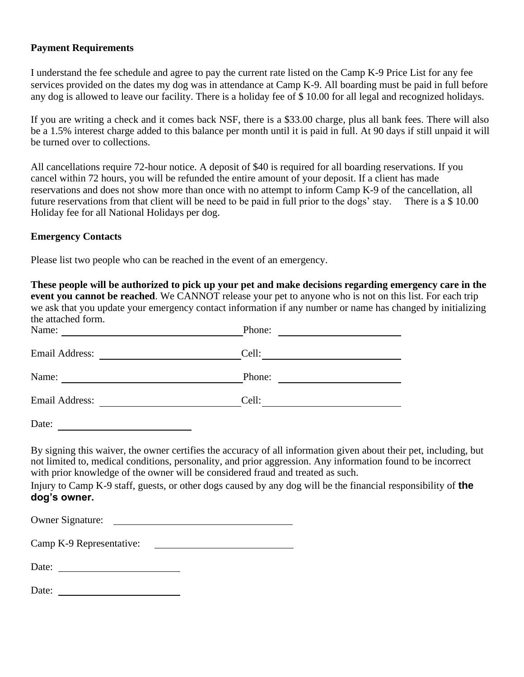#### **Payment Requirements**

I understand the fee schedule and agree to pay the current rate listed on the Camp K-9 Price List for any fee services provided on the dates my dog was in attendance at Camp K-9. All boarding must be paid in full before any dog is allowed to leave our facility. There is a holiday fee of \$ 10.00 for all legal and recognized holidays.

If you are writing a check and it comes back NSF, there is a \$33.00 charge, plus all bank fees. There will also be a 1.5% interest charge added to this balance per month until it is paid in full. At 90 days if still unpaid it will be turned over to collections.

All cancellations require 72-hour notice. A deposit of \$40 is required for all boarding reservations. If you cancel within 72 hours, you will be refunded the entire amount of your deposit. If a client has made reservations and does not show more than once with no attempt to inform Camp K-9 of the cancellation, all future reservations from that client will be need to be paid in full prior to the dogs' stay. There is a \$ 10.00 Holiday fee for all National Holidays per dog.

#### **Emergency Contacts**

Please list two people who can be reached in the event of an emergency.

**These people will be authorized to pick up your pet and make decisions regarding emergency care in the event you cannot be reached**. We CANNOT release your pet to anyone who is not on this list. For each trip we ask that you update your emergency contact information if any number or name has changed by initializing the attached form.

| Name:                 | Phone: |
|-----------------------|--------|
| <b>Email Address:</b> | Cell:  |
| Name:                 | Phone: |
| <b>Email Address:</b> | Cell:  |

Date:

By signing this waiver, the owner certifies the accuracy of all information given about their pet, including, but not limited to, medical conditions, personality, and prior aggression. Any information found to be incorrect with prior knowledge of the owner will be considered fraud and treated as such.

Injury to Camp K-9 staff, guests, or other dogs caused by any dog will be the financial responsibility of **the dog's owner.**

Owner Signature:

| Camp K-9 Representative: |  |
|--------------------------|--|
|                          |  |

Date:

Date: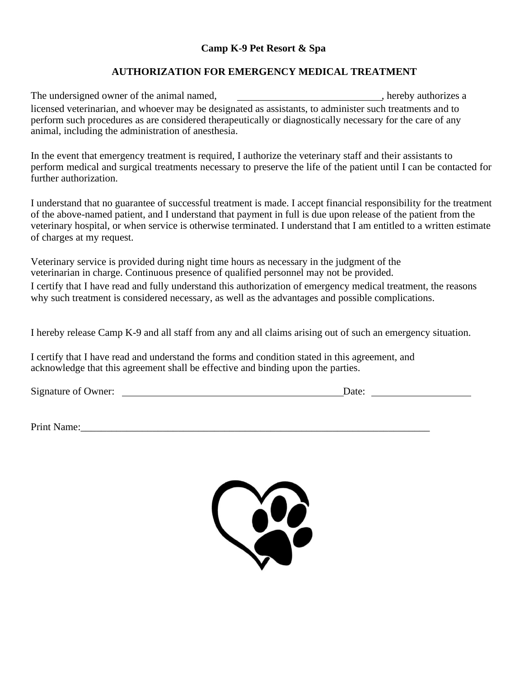### **Camp K-9 Pet Resort & Spa**

### **AUTHORIZATION FOR EMERGENCY MEDICAL TREATMENT**

The undersigned owner of the animal named,  $\blacksquare$ , hereby authorizes a licensed veterinarian, and whoever may be designated as assistants, to administer such treatments and to perform such procedures as are considered therapeutically or diagnostically necessary for the care of any animal, including the administration of anesthesia.

In the event that emergency treatment is required, I authorize the veterinary staff and their assistants to perform medical and surgical treatments necessary to preserve the life of the patient until I can be contacted for further authorization.

I understand that no guarantee of successful treatment is made. I accept financial responsibility for the treatment of the above-named patient, and I understand that payment in full is due upon release of the patient from the veterinary hospital, or when service is otherwise terminated. I understand that I am entitled to a written estimate of charges at my request.

Veterinary service is provided during night time hours as necessary in the judgment of the veterinarian in charge. Continuous presence of qualified personnel may not be provided. I certify that I have read and fully understand this authorization of emergency medical treatment, the reasons why such treatment is considered necessary, as well as the advantages and possible complications.

I hereby release Camp K-9 and all staff from any and all claims arising out of such an emergency situation.

I certify that I have read and understand the forms and condition stated in this agreement, and acknowledge that this agreement shall be effective and binding upon the parties.

Signature of Owner: Date:

Print Name:\_\_\_\_\_\_\_\_\_\_\_\_\_\_\_\_\_\_\_\_\_\_\_\_\_\_\_\_\_\_\_\_\_\_\_\_\_\_\_\_\_\_\_\_\_\_\_\_\_\_\_\_\_\_\_\_\_\_\_\_\_\_\_\_\_\_\_\_

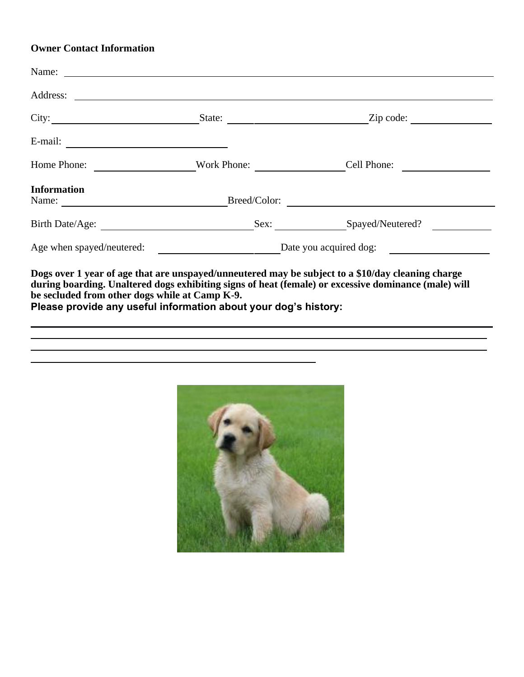### **Owner Contact Information**

| City:                                       |                                                         |  | $\mathsf{Zip} \; \mathsf{code} \colon \; \underline{\hspace{2cm}}$ |  |
|---------------------------------------------|---------------------------------------------------------|--|--------------------------------------------------------------------|--|
|                                             |                                                         |  |                                                                    |  |
| Home Phone:                                 |                                                         |  | Cell Phone:                                                        |  |
| <b>Information</b><br>Name: Breed/Color:    |                                                         |  | <u> 1989 - Andrea Brand, amerikansk politik (</u>                  |  |
| Birth Date/Age:                             |                                                         |  | Sex: Spayed/Neutered?                                              |  |
|                                             | Age when spayed/neutered: <u>Date you acquired dog:</u> |  |                                                                    |  |
| <u>n a giro na shekara na shekara a she</u> |                                                         |  |                                                                    |  |

**Dogs over 1 year of age that are unspayed/unneutered may be subject to a \$10/day cleaning charge during boarding. Unaltered dogs exhibiting signs of heat (female) or excessive dominance (male) will be secluded from other dogs while at Camp K-9.**

**Please provide any useful information about your dog's history:**

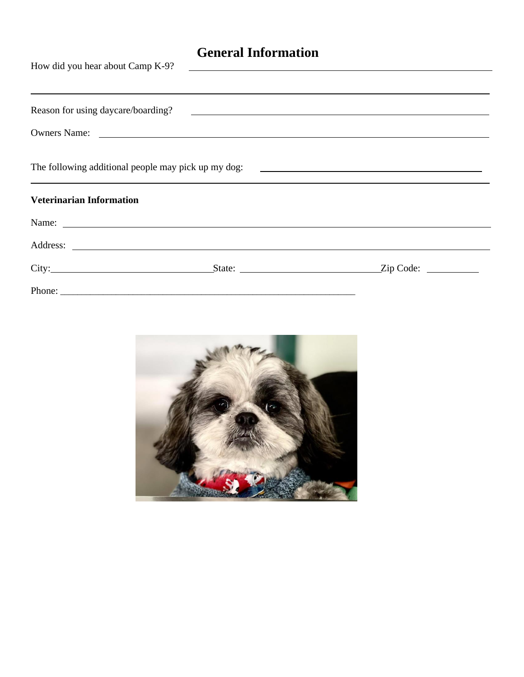# **General Information**

| How did you hear about Camp K-9? |                                                                                                                                                                                                                                      |  |  |  |
|----------------------------------|--------------------------------------------------------------------------------------------------------------------------------------------------------------------------------------------------------------------------------------|--|--|--|
|                                  |                                                                                                                                                                                                                                      |  |  |  |
|                                  | Owners Name: <u>and the contract of the contract of the contract of the contract of the contract of the contract of the contract of the contract of the contract of the contract of the contract of the contract of the contract</u> |  |  |  |
|                                  | ,我们也不会有什么。""我们的人,我们也不会有什么?""我们的人,我们也不会有什么?""我们的人,我们也不会有什么?""我们的人,我们也不会有什么?""我们的人                                                                                                                                                     |  |  |  |
| <b>Veterinarian Information</b>  |                                                                                                                                                                                                                                      |  |  |  |
|                                  | Name:                                                                                                                                                                                                                                |  |  |  |
|                                  |                                                                                                                                                                                                                                      |  |  |  |
|                                  | City: <u>City:</u> City: City: City: City: City: City: City: City: City: City: City: City: City: City: City: City: City: City: City: City: City: City: City: City: City: City: City: City: City: City: City: City: City: City: City  |  |  |  |
|                                  |                                                                                                                                                                                                                                      |  |  |  |

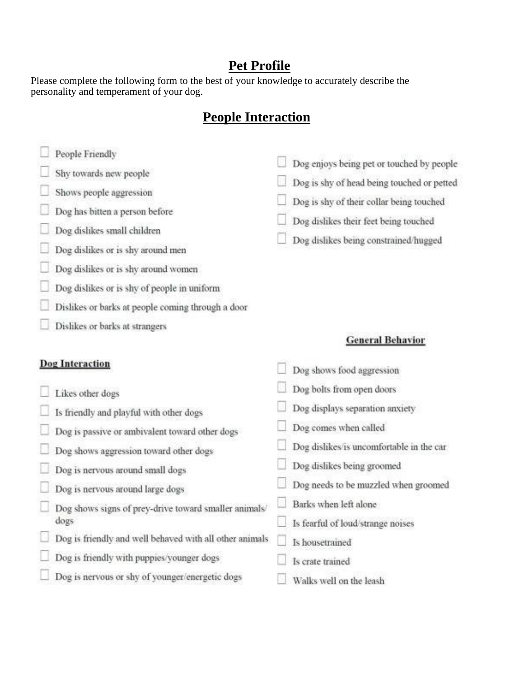## **Pet Profile**

Please complete the following form to the best of your knowledge to accurately describe the personality and temperament of your dog.

# **People Interaction**

- People Friendly
- Shy towards new people
- Shows people aggression
- Dog has bitten a person before
- Dog dislikes small children
- Dog dislikes or is shy around men
- Dog dislikes or is shy around women
- Dog dislikes or is shy of people in uniform
- Dislikes or barks at people coming through a door
- Dislikes or barks at strangers

# Dog enjoys being pet or touched by people

- Dog is shy of head being touched or petted
- Dog is shy of their collar being touched
- Dog dislikes their feet being touched
- Dog dislikes being constrained/hugged

## **General Behavior**

| <b>Dog Interaction</b>                                  | Dog shows food aggression                |
|---------------------------------------------------------|------------------------------------------|
| Likes other dogs                                        | Dog bolts from open doors                |
| Is friendly and playful with other dogs                 | Dog displays separation anxiety          |
| Dog is passive or ambivalent toward other dogs          | Dog comes when called                    |
| Dog shows aggression toward other dogs                  | Dog dislikes/is uncomfortable in the car |
| Dog is nervous around small dogs                        | Dog dislikes being groomed               |
| Dog is nervous around large dogs                        | Dog needs to be muzzled when groomed     |
| Dog shows signs of prey-drive toward smaller animals/   | Barks when left alone                    |
| dogs                                                    | Is fearful of loud/strange noises        |
| Dog is friendly and well behaved with all other animals | Is housetrained                          |
| Dog is friendly with puppies/younger dogs               | Is crate trained                         |
| Dog is nervous or shy of younger/energetic dogs         | Walks well on the leash                  |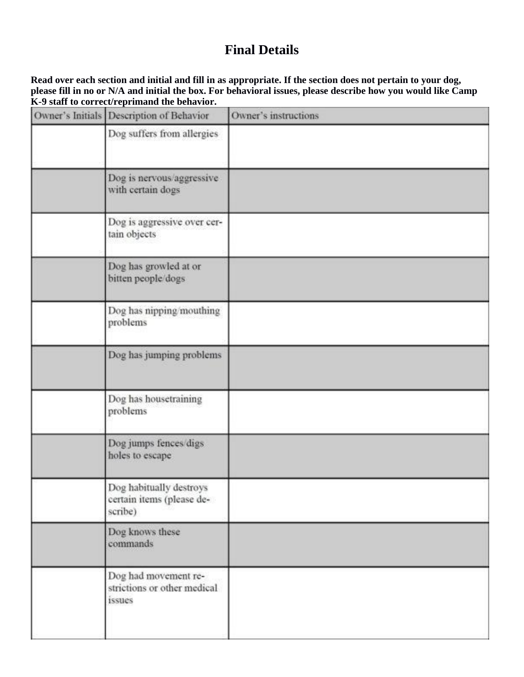# **Final Details**

**Read over each section and initial and fill in as appropriate. If the section does not pertain to your dog, please fill in no or N/A and initial the box. For behavioral issues, please describe how you would like Camp K-9 staff to correct/reprimand the behavior.**

| Owner's Initials Description of Behavior                        | Owner's instructions |
|-----------------------------------------------------------------|----------------------|
| Dog suffers from allergies                                      |                      |
| Dog is nervous/aggressive<br>with certain dogs                  |                      |
| Dog is aggressive over cer-<br>tain objects                     |                      |
| Dog has growled at or<br>bitten people/dogs                     |                      |
| Dog has nipping/mouthing<br>problems                            |                      |
| Dog has jumping problems                                        |                      |
| Dog has housetraining<br>problems                               |                      |
| Dog jumps fences/digs<br>holes to escape                        |                      |
| Dog habitually destroys<br>certain items (please de-<br>scribe) |                      |
| Dog knows these<br>commands                                     |                      |
| Dog had movement re-<br>strictions or other medical<br>issues   |                      |